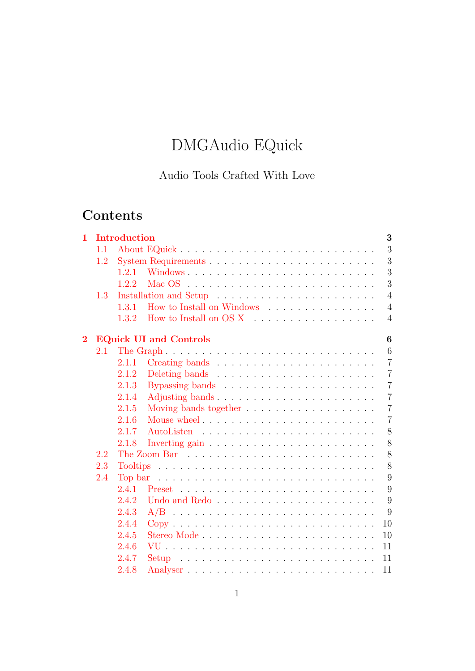# DMGAudio EQuick

# Audio Tools Crafted With Love

# Contents

| $\mathbf{1}$   |     | <b>Introduction</b><br>3                                                                                         |  |
|----------------|-----|------------------------------------------------------------------------------------------------------------------|--|
|                | 1.1 | 3                                                                                                                |  |
|                | 1.2 | 3                                                                                                                |  |
|                |     | 3<br>1.2.1                                                                                                       |  |
|                |     | 3<br>1.2.2<br>Mac $OS$ $\ldots$ $\ldots$ $\ldots$ $\ldots$ $\ldots$ $\ldots$ $\ldots$ $\ldots$ $\ldots$ $\ldots$ |  |
|                | 1.3 | $\overline{4}$                                                                                                   |  |
|                |     | How to Install on Windows<br>1.3.1<br>$\overline{4}$                                                             |  |
|                |     | 1.3.2<br>$\overline{4}$                                                                                          |  |
| $\overline{2}$ |     | <b>EQuick UI and Controls</b><br>6                                                                               |  |
|                | 2.1 | 6                                                                                                                |  |
|                |     | $\overline{7}$<br>2.1.1                                                                                          |  |
|                |     | 2.1.2<br>$\overline{7}$                                                                                          |  |
|                |     | $\overline{7}$<br>2.1.3                                                                                          |  |
|                |     | 2.1.4<br>Adjusting bands<br>$\overline{7}$                                                                       |  |
|                |     | $\overline{7}$<br>2.1.5                                                                                          |  |
|                |     | 2.1.6<br>Mouse wheel<br>$\overline{7}$                                                                           |  |
|                |     | 2.1.7<br>8                                                                                                       |  |
|                |     | 8<br>2.1.8<br>Inverting gain $\ldots \ldots \ldots \ldots \ldots \ldots \ldots \ldots$                           |  |
|                | 2.2 | 8                                                                                                                |  |
|                | 2.3 | 8                                                                                                                |  |
|                | 2.4 | 9<br>Top bar $\ldots \ldots \ldots \ldots \ldots \ldots \ldots \ldots \ldots \ldots \ldots$                      |  |
|                |     | 9<br>2.4.1                                                                                                       |  |
|                |     | 2.4.2<br>Undo and Redo<br>9                                                                                      |  |
|                |     | 2.4.3<br>9<br>$A/B$                                                                                              |  |
|                |     | 2.4.4<br>$Copy \dots \dots \dots \dots \dots \dots \dots \dots \dots \dots \dots \dots$<br>10                    |  |
|                |     | Stereo Mode<br>2.4.5<br>10                                                                                       |  |
|                |     | 2.4.6<br>11                                                                                                      |  |
|                |     | 2.4.7<br>11<br>Setup                                                                                             |  |
|                |     | 2.4.8<br>11                                                                                                      |  |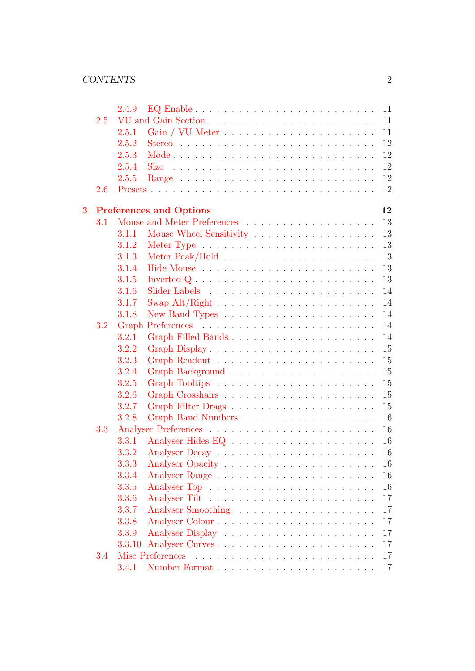|                         |     | 2.4.9  |                                      |  |
|-------------------------|-----|--------|--------------------------------------|--|
|                         | 2.5 |        |                                      |  |
|                         |     | 2.5.1  | 11                                   |  |
|                         |     | 2.5.2  | 12                                   |  |
|                         |     | 2.5.3  | 12                                   |  |
|                         |     | 2.5.4  | 12<br><b>Size</b>                    |  |
|                         |     | 2.5.5  | 12                                   |  |
|                         | 2.6 |        | 12                                   |  |
| $\overline{\mathbf{3}}$ |     |        | 12                                   |  |
|                         | 3.1 |        | <b>Preferences and Options</b><br>13 |  |
|                         |     | 3.1.1  | Mouse Wheel Sensitivity<br>13        |  |
|                         |     | 3.1.2  | 13                                   |  |
|                         |     | 3.1.3  | 13                                   |  |
|                         |     | 3.1.4  | 13                                   |  |
|                         |     | 3.1.5  | 13                                   |  |
|                         |     | 3.1.6  | 14                                   |  |
|                         |     | 3.1.7  | 14                                   |  |
|                         |     | 3.1.8  | 14                                   |  |
|                         | 3.2 |        | 14                                   |  |
|                         |     | 3.2.1  | 14<br>Graph Filled Bands             |  |
|                         |     | 3.2.2  | 15                                   |  |
|                         |     | 3.2.3  | 15                                   |  |
|                         |     | 3.2.4  | 15                                   |  |
|                         |     | 3.2.5  | 15                                   |  |
|                         |     | 3.2.6  | 15                                   |  |
|                         |     | 3.2.7  | 15                                   |  |
|                         |     | 3.2.8  | 16                                   |  |
|                         | 3.3 |        | 16                                   |  |
|                         |     | 3.3.1  | 16                                   |  |
|                         |     | 3.3.2  | 16                                   |  |
|                         |     | 3.3.3  | 16                                   |  |
|                         |     | 3.3.4  | 16                                   |  |
|                         |     | 3.3.5  | 16                                   |  |
|                         |     | 3.3.6  | 17                                   |  |
|                         |     | 3.3.7  | 17                                   |  |
|                         |     | 3.3.8  | 17                                   |  |
|                         |     | 3.3.9  | 17                                   |  |
|                         |     | 3.3.10 | 17                                   |  |
|                         | 3.4 |        | 17                                   |  |
|                         |     | 3.4.1  | 17                                   |  |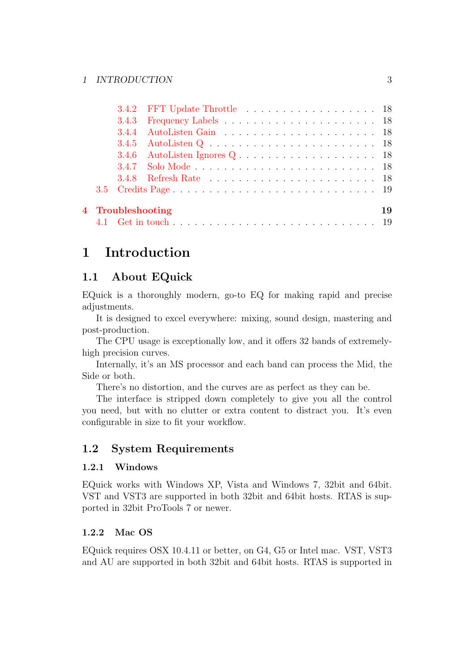|  | 3.4.2 FFT Update Throttle 18                                                          |  |  |  |  |  |  |  |  |  |  |  |  |    |
|--|---------------------------------------------------------------------------------------|--|--|--|--|--|--|--|--|--|--|--|--|----|
|  |                                                                                       |  |  |  |  |  |  |  |  |  |  |  |  |    |
|  |                                                                                       |  |  |  |  |  |  |  |  |  |  |  |  |    |
|  |                                                                                       |  |  |  |  |  |  |  |  |  |  |  |  |    |
|  | 3.4.6 AutoListen Ignores $Q \dots \dots \dots \dots \dots \dots \dots \dots \dots$ 18 |  |  |  |  |  |  |  |  |  |  |  |  |    |
|  |                                                                                       |  |  |  |  |  |  |  |  |  |  |  |  |    |
|  |                                                                                       |  |  |  |  |  |  |  |  |  |  |  |  |    |
|  |                                                                                       |  |  |  |  |  |  |  |  |  |  |  |  |    |
|  | 4 Troubleshooting                                                                     |  |  |  |  |  |  |  |  |  |  |  |  | 19 |
|  |                                                                                       |  |  |  |  |  |  |  |  |  |  |  |  |    |
|  |                                                                                       |  |  |  |  |  |  |  |  |  |  |  |  |    |

# <span id="page-2-0"></span>1 Introduction

# <span id="page-2-1"></span>1.1 About EQuick

EQuick is a thoroughly modern, go-to EQ for making rapid and precise adjustments.

It is designed to excel everywhere: mixing, sound design, mastering and post-production.

The CPU usage is exceptionally low, and it offers 32 bands of extremelyhigh precision curves.

Internally, it's an MS processor and each band can process the Mid, the Side or both.

There's no distortion, and the curves are as perfect as they can be.

The interface is stripped down completely to give you all the control you need, but with no clutter or extra content to distract you. It's even configurable in size to fit your workflow.

# <span id="page-2-2"></span>1.2 System Requirements

### <span id="page-2-3"></span>1.2.1 Windows

EQuick works with Windows XP, Vista and Windows 7, 32bit and 64bit. VST and VST3 are supported in both 32bit and 64bit hosts. RTAS is supported in 32bit ProTools 7 or newer.

# <span id="page-2-4"></span>1.2.2 Mac OS

EQuick requires OSX 10.4.11 or better, on G4, G5 or Intel mac. VST, VST3 and AU are supported in both 32bit and 64bit hosts. RTAS is supported in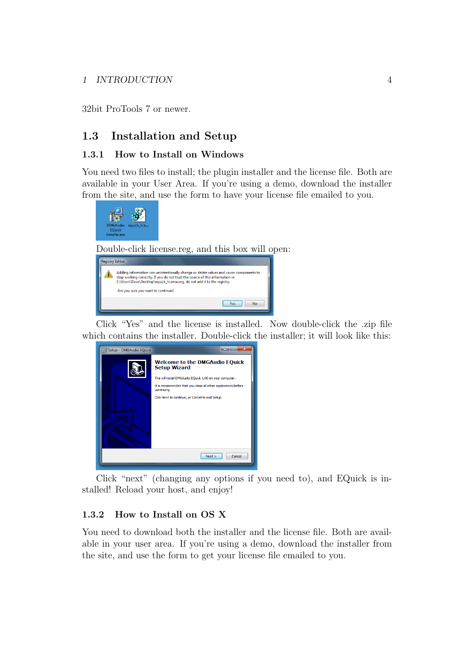#### 1 INTRODUCTION 4

32bit ProTools 7 or newer.

## <span id="page-3-0"></span>1.3 Installation and Setup

#### <span id="page-3-1"></span>1.3.1 How to Install on Windows

You need two files to install; the plugin installer and the license file. Both are available in your User Area. If you're using a demo, download the installer from the site, and use the form to have your license file emailed to you.



Double-click license.reg, and this box will open:

| <b>Registry Editor</b> |                                                                                                                                                                                                                                                                                           |
|------------------------|-------------------------------------------------------------------------------------------------------------------------------------------------------------------------------------------------------------------------------------------------------------------------------------------|
|                        | Adding information can unintentionally change or delete values and cause components to<br>stop working correctly. If you do not trust the source of this information in<br>C:\Users\Dave\Desktop\equick_license.req, do not add it to the registry.<br>Are you sure you want to continue? |
|                        | <b>Yes</b><br>No                                                                                                                                                                                                                                                                          |

Click "Yes" and the license is installed. Now double-click the .zip file which contains the installer. Double-click the installer; it will look like this:

| Setup - DMGAudio EQuick | $\overline{\mathbf{x}}$                                                       |
|-------------------------|-------------------------------------------------------------------------------|
|                         | <b>Welcome to the DMGAudio EQuick</b><br><b>Setup Wizard</b>                  |
|                         | This will install DMGAudio EQuick 1.00 on your computer.                      |
|                         | It is recommended that you close all other applications before<br>continuing. |
|                         | Click Next to continue, or Cancel to exit Setup.                              |
|                         |                                                                               |
|                         |                                                                               |
|                         |                                                                               |
|                         |                                                                               |
|                         |                                                                               |
|                         | Cancel<br>Next                                                                |
|                         |                                                                               |

Click "next" (changing any options if you need to), and EQuick is installed! Reload your host, and enjoy!

#### <span id="page-3-2"></span>1.3.2 How to Install on OS X

You need to download both the installer and the license file. Both are available in your user area. If you're using a demo, download the installer from the site, and use the form to get your license file emailed to you.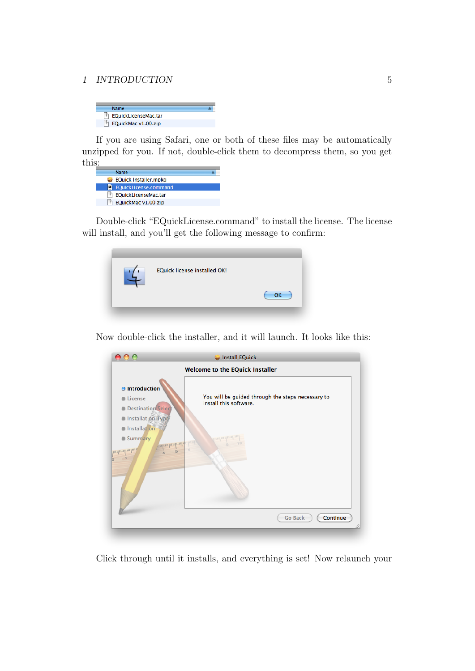#### 1 INTRODUCTION 5

| Name                 |  |
|----------------------|--|
| EQuickLicenseMac.tar |  |
| EQuickMac v1.00.zip  |  |

If you are using Safari, one or both of these files may be automatically unzipped for you. If not, double-click them to decompress them, so you get this:

| Name                         |  |
|------------------------------|--|
| <b>EQuick Installer.mpkg</b> |  |
| EQuickLicense.command        |  |
| EQuickLicenseMac.tar         |  |
| EQuickMac v1.00.zip          |  |
|                              |  |

Double-click "EQuickLicense.command" to install the license. The license will install, and you'll get the following message to confirm:



Now double-click the installer, and it will launch. It looks like this:

|                                                                                         | Install EQuick                                                              |
|-----------------------------------------------------------------------------------------|-----------------------------------------------------------------------------|
|                                                                                         | Welcome to the EQuick Installer                                             |
| $\Theta$ Introduction<br>License<br><b>Destination Select</b><br>Installation Type      | You will be guided through the steps necessary to<br>install this software. |
| <b>Installation</b><br><b>Summary</b><br><b><i>confortinational alim</i></b><br>աղապարա | <b>Tunlimlini</b> m                                                         |
|                                                                                         | Continue<br><b>Go Back</b>                                                  |

Click through until it installs, and everything is set! Now relaunch your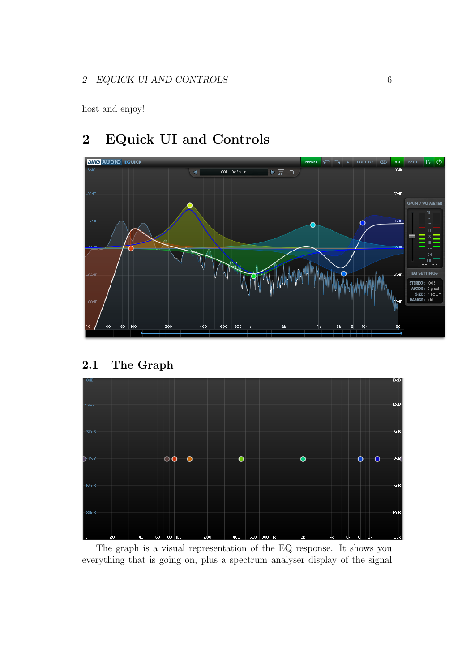host and enjoy!

# <span id="page-5-0"></span>2 EQuick UI and Controls



# <span id="page-5-1"></span>2.1 The Graph



The graph is a visual representation of the EQ response. It shows you everything that is going on, plus a spectrum analyser display of the signal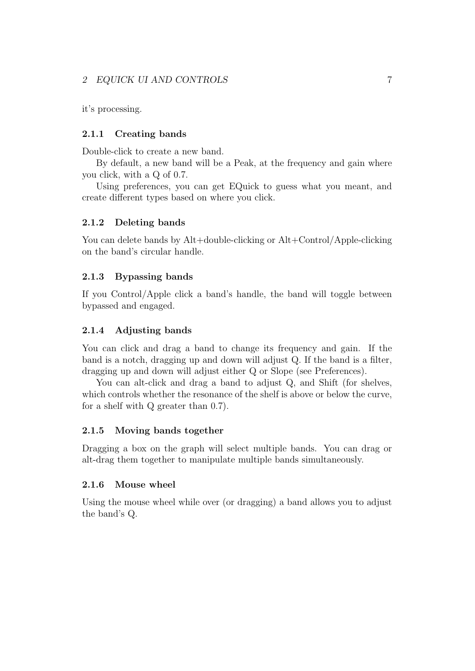#### 2 EQUICK UI AND CONTROLS 7

it's processing.

#### <span id="page-6-0"></span>2.1.1 Creating bands

Double-click to create a new band.

By default, a new band will be a Peak, at the frequency and gain where you click, with a Q of 0.7.

Using preferences, you can get EQuick to guess what you meant, and create different types based on where you click.

#### <span id="page-6-1"></span>2.1.2 Deleting bands

You can delete bands by Alt+double-clicking or Alt+Control/Apple-clicking on the band's circular handle.

#### <span id="page-6-2"></span>2.1.3 Bypassing bands

If you Control/Apple click a band's handle, the band will toggle between bypassed and engaged.

#### <span id="page-6-3"></span>2.1.4 Adjusting bands

You can click and drag a band to change its frequency and gain. If the band is a notch, dragging up and down will adjust Q. If the band is a filter, dragging up and down will adjust either Q or Slope (see Preferences).

You can alt-click and drag a band to adjust Q, and Shift (for shelves, which controls whether the resonance of the shelf is above or below the curve, for a shelf with Q greater than 0.7).

#### <span id="page-6-4"></span>2.1.5 Moving bands together

Dragging a box on the graph will select multiple bands. You can drag or alt-drag them together to manipulate multiple bands simultaneously.

#### <span id="page-6-5"></span>2.1.6 Mouse wheel

Using the mouse wheel while over (or dragging) a band allows you to adjust the band's Q.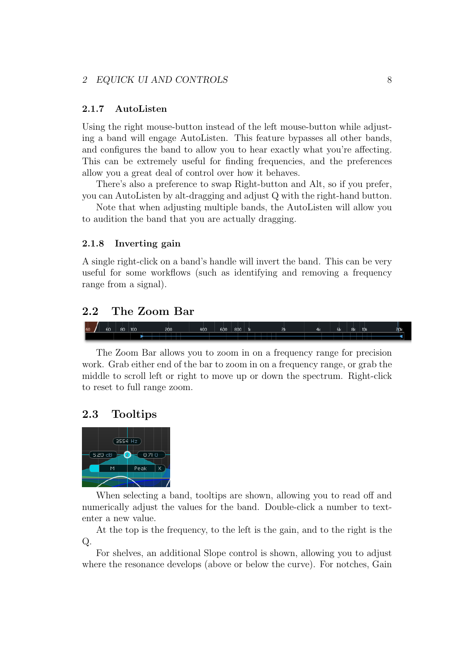#### <span id="page-7-0"></span>2.1.7 AutoListen

Using the right mouse-button instead of the left mouse-button while adjusting a band will engage AutoListen. This feature bypasses all other bands, and configures the band to allow you to hear exactly what you're affecting. This can be extremely useful for finding frequencies, and the preferences allow you a great deal of control over how it behaves.

There's also a preference to swap Right-button and Alt, so if you prefer, you can AutoListen by alt-dragging and adjust Q with the right-hand button.

Note that when adjusting multiple bands, the AutoListen will allow you to audition the band that you are actually dragging.

#### <span id="page-7-1"></span>2.1.8 Inverting gain

A single right-click on a band's handle will invert the band. This can be very useful for some workflows (such as identifying and removing a frequency range from a signal).

### <span id="page-7-2"></span>2.2 The Zoom Bar



The Zoom Bar allows you to zoom in on a frequency range for precision work. Grab either end of the bar to zoom in on a frequency range, or grab the middle to scroll left or right to move up or down the spectrum. Right-click to reset to full range zoom.

#### <span id="page-7-3"></span>2.3 Tooltips



When selecting a band, tooltips are shown, allowing you to read off and numerically adjust the values for the band. Double-click a number to textenter a new value.

At the top is the frequency, to the left is the gain, and to the right is the Q.

For shelves, an additional Slope control is shown, allowing you to adjust where the resonance develops (above or below the curve). For notches, Gain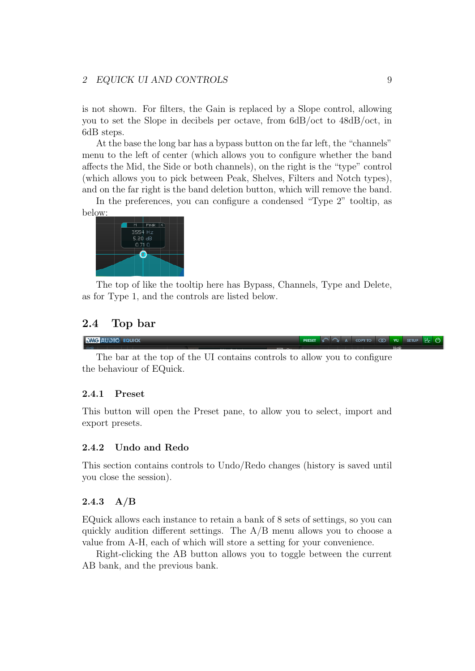#### 2 EQUICK UI AND CONTROLS 9

is not shown. For filters, the Gain is replaced by a Slope control, allowing you to set the Slope in decibels per octave, from 6dB/oct to 48dB/oct, in 6dB steps.

At the base the long bar has a bypass button on the far left, the "channels" menu to the left of center (which allows you to configure whether the band affects the Mid, the Side or both channels), on the right is the "type" control (which allows you to pick between Peak, Shelves, Filters and Notch types), and on the far right is the band deletion button, which will remove the band.

In the preferences, you can configure a condensed "Type 2" tooltip, as below:



The top of like the tooltip here has Bypass, Channels, Type and Delete, as for Type 1, and the controls are listed below.

#### <span id="page-8-0"></span>2.4 Top bar

**DMG AUDIO EQUICK** 

The bar at the top of the UI contains controls to allow you to configure the behaviour of EQuick.

#### <span id="page-8-1"></span>2.4.1 Preset

This button will open the Preset pane, to allow you to select, import and export presets.

#### <span id="page-8-2"></span>2.4.2 Undo and Redo

This section contains controls to Undo/Redo changes (history is saved until you close the session).

#### <span id="page-8-3"></span> $2.4.3\quad A/B$

EQuick allows each instance to retain a bank of 8 sets of settings, so you can quickly audition different settings. The A/B menu allows you to choose a value from A-H, each of which will store a setting for your convenience.

Right-clicking the AB button allows you to toggle between the current AB bank, and the previous bank.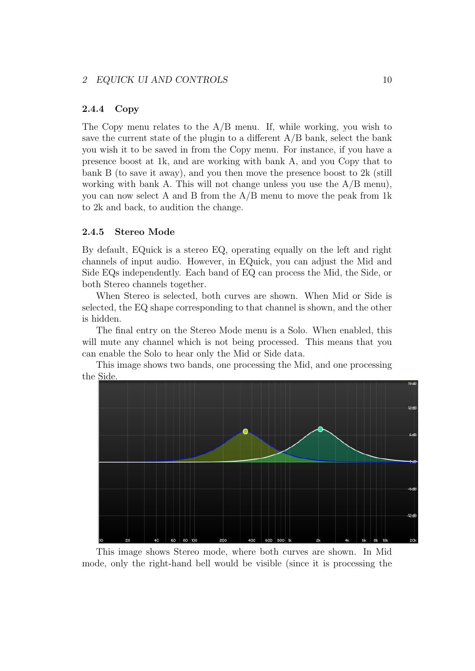#### <span id="page-9-0"></span>2.4.4 Copy

The Copy menu relates to the A/B menu. If, while working, you wish to save the current state of the plugin to a different  $A/B$  bank, select the bank you wish it to be saved in from the Copy menu. For instance, if you have a presence boost at 1k, and are working with bank A, and you Copy that to bank B (to save it away), and you then move the presence boost to  $2k$  (still working with bank A. This will not change unless you use the  $A/B$  menu), you can now select A and B from the A/B menu to move the peak from 1k to 2k and back, to audition the change.

#### <span id="page-9-1"></span>2.4.5 Stereo Mode

By default, EQuick is a stereo EQ, operating equally on the left and right channels of input audio. However, in EQuick, you can adjust the Mid and Side EQs independently. Each band of EQ can process the Mid, the Side, or both Stereo channels together.

When Stereo is selected, both curves are shown. When Mid or Side is selected, the EQ shape corresponding to that channel is shown, and the other is hidden.

The final entry on the Stereo Mode menu is a Solo. When enabled, this will mute any channel which is not being processed. This means that you can enable the Solo to hear only the Mid or Side data.

This image shows two bands, one processing the Mid, and one processing the Side.



This image shows Stereo mode, where both curves are shown. In Mid mode, only the right-hand bell would be visible (since it is processing the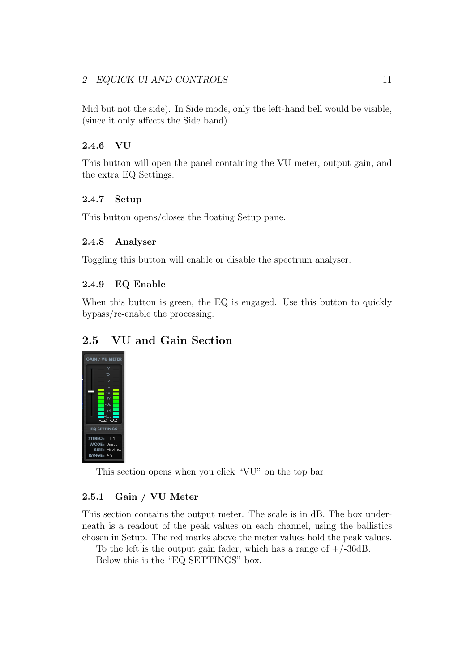### 2 EQUICK UI AND CONTROLS 11

Mid but not the side). In Side mode, only the left-hand bell would be visible, (since it only affects the Side band).

### <span id="page-10-0"></span>2.4.6 VU

This button will open the panel containing the VU meter, output gain, and the extra EQ Settings.

### <span id="page-10-1"></span>2.4.7 Setup

This button opens/closes the floating Setup pane.

#### <span id="page-10-2"></span>2.4.8 Analyser

Toggling this button will enable or disable the spectrum analyser.

### <span id="page-10-3"></span>2.4.9 EQ Enable

When this button is green, the EQ is engaged. Use this button to quickly bypass/re-enable the processing.

# <span id="page-10-4"></span>2.5 VU and Gain Section



This section opens when you click "VU" on the top bar.

#### <span id="page-10-5"></span>2.5.1 Gain / VU Meter

This section contains the output meter. The scale is in dB. The box underneath is a readout of the peak values on each channel, using the ballistics chosen in Setup. The red marks above the meter values hold the peak values.

To the left is the output gain fader, which has a range of  $+/-36dB$ . Below this is the "EQ SETTINGS" box.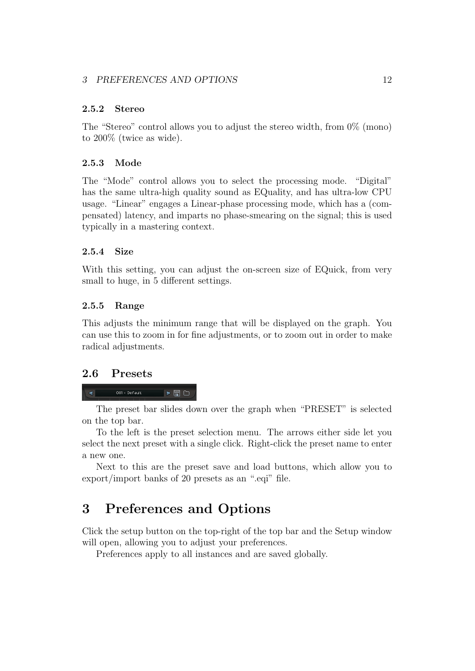#### <span id="page-11-0"></span>2.5.2 Stereo

The "Stereo" control allows you to adjust the stereo width, from  $0\%$  (mono) to 200% (twice as wide).

### <span id="page-11-1"></span>2.5.3 Mode

The "Mode" control allows you to select the processing mode. "Digital" has the same ultra-high quality sound as EQuality, and has ultra-low CPU usage. "Linear" engages a Linear-phase processing mode, which has a (compensated) latency, and imparts no phase-smearing on the signal; this is used typically in a mastering context.

### <span id="page-11-2"></span>2.5.4 Size

With this setting, you can adjust the on-screen size of EQuick, from very small to huge, in 5 different settings.

### <span id="page-11-3"></span>2.5.5 Range

This adjusts the minimum range that will be displayed on the graph. You can use this to zoom in for fine adjustments, or to zoom out in order to make radical adjustments.

### <span id="page-11-4"></span>2.6 Presets

#### 001 - Default  $\rightarrow \blacksquare$  $\mathcal{A}$

The preset bar slides down over the graph when "PRESET" is selected on the top bar.

To the left is the preset selection menu. The arrows either side let you select the next preset with a single click. Right-click the preset name to enter a new one.

Next to this are the preset save and load buttons, which allow you to export/import banks of 20 presets as an ".eqi" file.

# <span id="page-11-5"></span>3 Preferences and Options

Click the setup button on the top-right of the top bar and the Setup window will open, allowing you to adjust your preferences.

Preferences apply to all instances and are saved globally.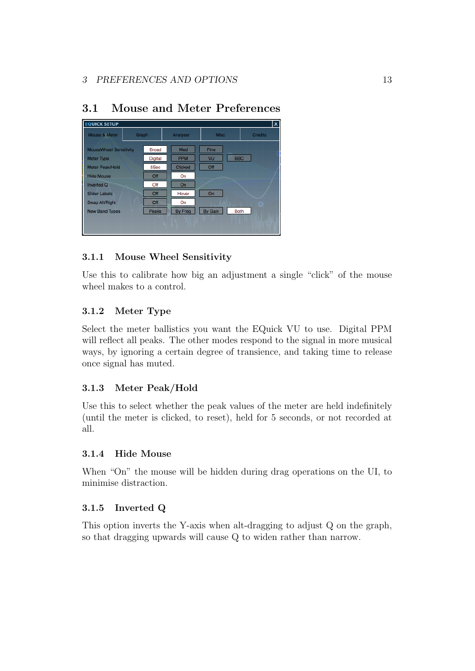| Mouse & Meter                 | Graph          | Analyser       | <b>Misc</b> | <b>Credits</b> |
|-------------------------------|----------------|----------------|-------------|----------------|
| <b>MouseWheel Sensitivity</b> | <b>Broad</b>   | Med            | <b>Fine</b> |                |
| <b>Meter Type</b>             | <b>Digital</b> | <b>PPM</b>     | VU          | <b>BBC</b>     |
| Meter Peak/Hold               | 5Sec           | <b>Clicked</b> | Off         |                |
| <b>Hide Mouse</b>             | Off            | On             |             |                |
| Inverted Q                    | Off            | On             |             |                |
| <b>Slider Labels</b>          | Off            | Hover          | On          |                |
| Swap Alt/Right                | Off            | On             |             |                |
| <b>New Band Types</b>         | Peaks          | <b>By Freq</b> | By Gain     | <b>Both</b>    |

# <span id="page-12-0"></span>3.1 Mouse and Meter Preferences

# <span id="page-12-1"></span>3.1.1 Mouse Wheel Sensitivity

Use this to calibrate how big an adjustment a single "click" of the mouse wheel makes to a control.

# <span id="page-12-2"></span>3.1.2 Meter Type

Select the meter ballistics you want the EQuick VU to use. Digital PPM will reflect all peaks. The other modes respond to the signal in more musical ways, by ignoring a certain degree of transience, and taking time to release once signal has muted.

# <span id="page-12-3"></span>3.1.3 Meter Peak/Hold

Use this to select whether the peak values of the meter are held indefinitely (until the meter is clicked, to reset), held for 5 seconds, or not recorded at all.

### <span id="page-12-4"></span>3.1.4 Hide Mouse

When "On" the mouse will be hidden during drag operations on the UI, to minimise distraction.

# <span id="page-12-5"></span>3.1.5 Inverted Q

This option inverts the Y-axis when alt-dragging to adjust Q on the graph, so that dragging upwards will cause Q to widen rather than narrow.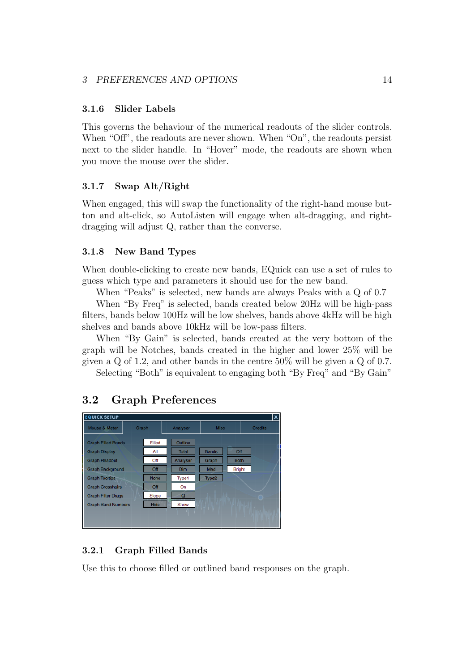#### <span id="page-13-0"></span>3.1.6 Slider Labels

This governs the behaviour of the numerical readouts of the slider controls. When "Off", the readouts are never shown. When "On", the readouts persist next to the slider handle. In "Hover" mode, the readouts are shown when you move the mouse over the slider.

#### <span id="page-13-1"></span>3.1.7 Swap Alt/Right

When engaged, this will swap the functionality of the right-hand mouse button and alt-click, so AutoListen will engage when alt-dragging, and rightdragging will adjust Q, rather than the converse.

#### <span id="page-13-2"></span>3.1.8 New Band Types

When double-clicking to create new bands, EQuick can use a set of rules to guess which type and parameters it should use for the new band.

When "Peaks" is selected, new bands are always Peaks with a Q of 0.7

When "By Freq" is selected, bands created below 20Hz will be high-pass filters, bands below 100Hz will be low shelves, bands above 4kHz will be high shelves and bands above 10kHz will be low-pass filters.

When "By Gain" is selected, bands created at the very bottom of the graph will be Notches, bands created in the higher and lower 25% will be given a Q of 1.2, and other bands in the centre 50% will be given a Q of 0.7.

Selecting "Both" is equivalent to engaging both "By Freq" and "By Gain"

## <span id="page-13-3"></span>3.2 Graph Preferences



#### <span id="page-13-4"></span>3.2.1 Graph Filled Bands

Use this to choose filled or outlined band responses on the graph.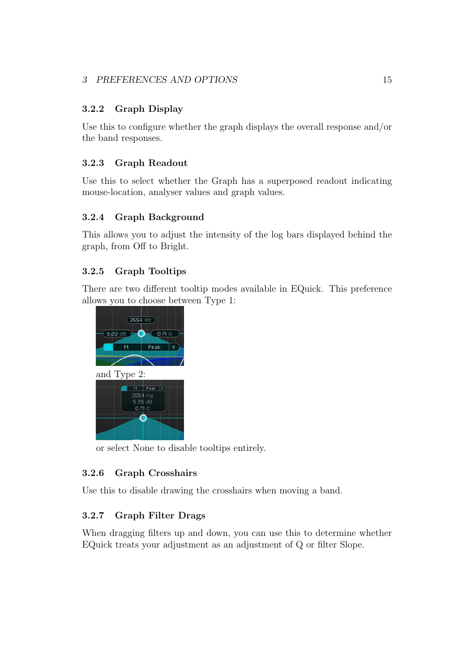# <span id="page-14-0"></span>3.2.2 Graph Display

Use this to configure whether the graph displays the overall response and/or the band responses.

# <span id="page-14-1"></span>3.2.3 Graph Readout

Use this to select whether the Graph has a superposed readout indicating mouse-location, analyser values and graph values.

## <span id="page-14-2"></span>3.2.4 Graph Background

This allows you to adjust the intensity of the log bars displayed behind the graph, from Off to Bright.

# <span id="page-14-3"></span>3.2.5 Graph Tooltips

There are two different tooltip modes available in EQuick. This preference allows you to choose between Type 1:



or select None to disable tooltips entirely.

# <span id="page-14-4"></span>3.2.6 Graph Crosshairs

Use this to disable drawing the crosshairs when moving a band.

# <span id="page-14-5"></span>3.2.7 Graph Filter Drags

When dragging filters up and down, you can use this to determine whether EQuick treats your adjustment as an adjustment of Q or filter Slope.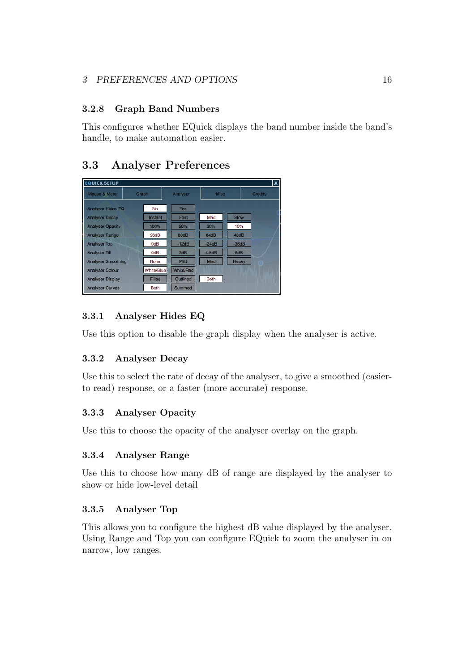# <span id="page-15-0"></span>3.2.8 Graph Band Numbers

This configures whether EQuick displays the band number inside the band's handle, to make automation easier.

# <span id="page-15-1"></span>3.3 Analyser Preferences

| <b>EQUICK SETUP</b>       |             |                  |             |         | lx.            |
|---------------------------|-------------|------------------|-------------|---------|----------------|
| Mouse & Meter             | Graph       | Analyser         | <b>Misc</b> |         | <b>Credits</b> |
| <b>Analyser Hides EQ</b>  | No          | <b>Yes</b>       |             |         |                |
| <b>Analyser Decay</b>     | Instant     | Fast             | Med         | Slow    |                |
| <b>Analyser Opacity</b>   | 100%        | 50%              | 20%         | 10%     |                |
| <b>Analyser Range</b>     | 96dB        | 80dB             | 64dB        | 48dB    |                |
| <b>Analyser Top</b>       | 0dB         | $-12dB$          | $-24dB$     | $-36dB$ |                |
| <b>Analyser Tilt</b>      | 0dB         | 3dB              | 4.5dB       | 6dB     |                |
| <b>Analyser Smoothing</b> | None        | Mild             | Med         | Heavy   |                |
| <b>Analyser Colour</b>    | White/Blue  | <b>White/Red</b> |             |         |                |
| <b>Analyser Display</b>   | Filled      | Outlined         | <b>Both</b> |         |                |
| <b>Analyser Curves</b>    | <b>Both</b> | Summed           |             |         |                |

# <span id="page-15-2"></span>3.3.1 Analyser Hides EQ

Use this option to disable the graph display when the analyser is active.

# <span id="page-15-3"></span>3.3.2 Analyser Decay

Use this to select the rate of decay of the analyser, to give a smoothed (easierto read) response, or a faster (more accurate) response.

# <span id="page-15-4"></span>3.3.3 Analyser Opacity

Use this to choose the opacity of the analyser overlay on the graph.

# <span id="page-15-5"></span>3.3.4 Analyser Range

Use this to choose how many dB of range are displayed by the analyser to show or hide low-level detail

# <span id="page-15-6"></span>3.3.5 Analyser Top

This allows you to configure the highest dB value displayed by the analyser. Using Range and Top you can configure EQuick to zoom the analyser in on narrow, low ranges.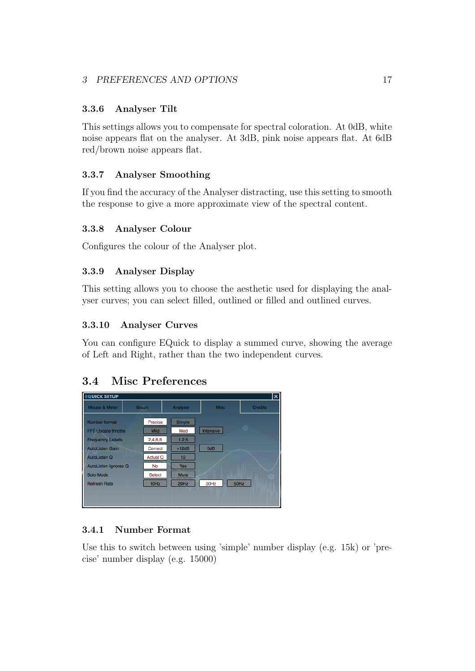## <span id="page-16-0"></span>3.3.6 Analyser Tilt

This settings allows you to compensate for spectral coloration. At 0dB, white noise appears flat on the analyser. At 3dB, pink noise appears flat. At 6dB red/brown noise appears flat.

## <span id="page-16-1"></span>3.3.7 Analyser Smoothing

If you find the accuracy of the Analyser distracting, use this setting to smooth the response to give a more approximate view of the spectral content.

### <span id="page-16-2"></span>3.3.8 Analyser Colour

Configures the colour of the Analyser plot.

# <span id="page-16-3"></span>3.3.9 Analyser Display

This setting allows you to choose the aesthetic used for displaying the analyser curves; you can select filled, outlined or filled and outlined curves.

### <span id="page-16-4"></span>3.3.10 Analyser Curves

You can configure EQuick to display a summed curve, showing the average of Left and Right, rather than the two independent curves.

# <span id="page-16-5"></span>3.4 Misc Preferences

| <b>EQUICK SETUP</b>        |           |               |                 |             |      | x              |
|----------------------------|-----------|---------------|-----------------|-------------|------|----------------|
| Mouse & Meter              | Graph     |               | Analyser        | <b>Misc</b> |      | <b>Credits</b> |
| Number format              |           | Precise       | Simple          |             |      |                |
| <b>FFT Update throttle</b> |           | <b>Mild</b>   | Med             | Intensive   |      |                |
| <b>Frequency Labels</b>    |           | 2,4,6,8       | 1,2,5           |             |      |                |
| <b>AutoListen Gain</b>     |           | Correct       | $+12dB$         | 0dB         |      |                |
| AutoListen Q               | $\Lambda$ | Actual Q      | 12 <sub>2</sub> |             |      |                |
| AutoListen Ignores Q       |           | No            | <b>Yes</b>      |             |      |                |
| Solo Mode                  |           | <b>Select</b> | <b>Mute</b>     |             |      |                |
| <b>Refresh Rate</b>        |           | 10Hz          | 20Hz            | 30Hz        | 50Hz |                |
|                            |           |               |                 |             |      |                |
|                            |           |               |                 |             |      |                |

# <span id="page-16-6"></span>3.4.1 Number Format

Use this to switch between using 'simple' number display (e.g. 15k) or 'precise' number display (e.g. 15000)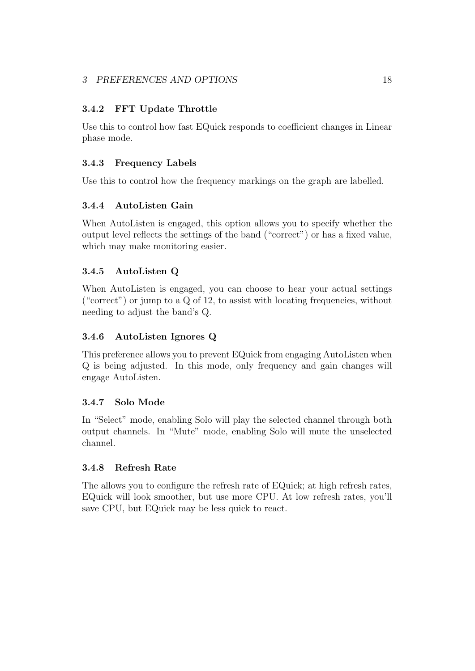## <span id="page-17-0"></span>3.4.2 FFT Update Throttle

Use this to control how fast EQuick responds to coefficient changes in Linear phase mode.

## <span id="page-17-1"></span>3.4.3 Frequency Labels

Use this to control how the frequency markings on the graph are labelled.

## <span id="page-17-2"></span>3.4.4 AutoListen Gain

When AutoListen is engaged, this option allows you to specify whether the output level reflects the settings of the band ("correct") or has a fixed value, which may make monitoring easier.

# <span id="page-17-3"></span>3.4.5 AutoListen Q

When AutoListen is engaged, you can choose to hear your actual settings ("correct") or jump to a Q of 12, to assist with locating frequencies, without needing to adjust the band's Q.

### <span id="page-17-4"></span>3.4.6 AutoListen Ignores Q

This preference allows you to prevent EQuick from engaging AutoListen when Q is being adjusted. In this mode, only frequency and gain changes will engage AutoListen.

### <span id="page-17-5"></span>3.4.7 Solo Mode

In "Select" mode, enabling Solo will play the selected channel through both output channels. In "Mute" mode, enabling Solo will mute the unselected channel.

### <span id="page-17-6"></span>3.4.8 Refresh Rate

The allows you to configure the refresh rate of EQuick; at high refresh rates, EQuick will look smoother, but use more CPU. At low refresh rates, you'll save CPU, but EQuick may be less quick to react.